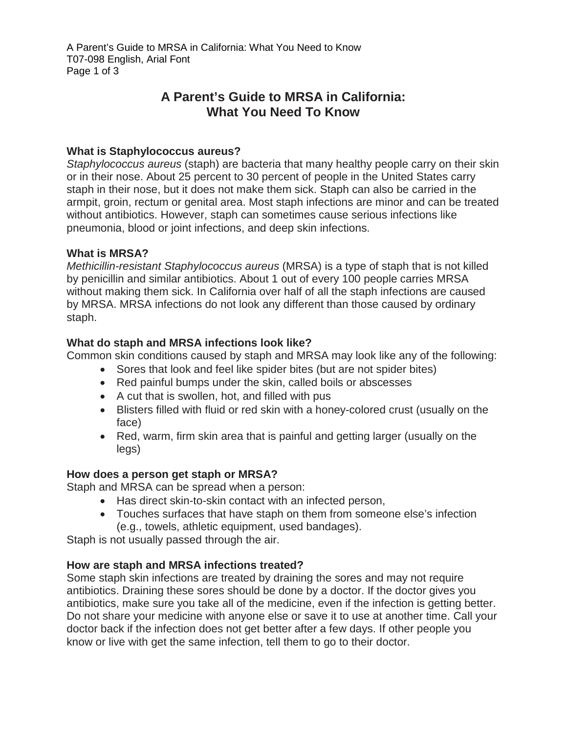A Parent's Guide to MRSA in California: What You Need to Know T07-098 English, Arial Font Page 1 of 3

# **A Parent's Guide to MRSA in California: What You Need To Know**

#### **What is Staphylococcus aureus?**

*Staphylococcus aureus* (staph) are bacteria that many healthy people carry on their skin or in their nose. About 25 percent to 30 percent of people in the United States carry staph in their nose, but it does not make them sick. Staph can also be carried in the armpit, groin, rectum or genital area. Most staph infections are minor and can be treated without antibiotics. However, staph can sometimes cause serious infections like pneumonia, blood or joint infections, and deep skin infections.

#### **What is MRSA?**

*Methicillin-resistant Staphylococcus aureus* (MRSA) is a type of staph that is not killed by penicillin and similar antibiotics. About 1 out of every 100 people carries MRSA without making them sick. In California over half of all the staph infections are caused by MRSA. MRSA infections do not look any different than those caused by ordinary staph.

### **What do staph and MRSA infections look like?**

Common skin conditions caused by staph and MRSA may look like any of the following:

- Sores that look and feel like spider bites (but are not spider bites)
- Red painful bumps under the skin, called boils or abscesses
- A cut that is swollen, hot, and filled with pus
- Blisters filled with fluid or red skin with a honey-colored crust (usually on the face)
- Red, warm, firm skin area that is painful and getting larger (usually on the legs)

### **How does a person get staph or MRSA?**

Staph and MRSA can be spread when a person:

- Has direct skin-to-skin contact with an infected person,
- Touches surfaces that have staph on them from someone else's infection (e.g., towels, athletic equipment, used bandages).

Staph is not usually passed through the air.

### **How are staph and MRSA infections treated?**

Some staph skin infections are treated by draining the sores and may not require antibiotics. Draining these sores should be done by a doctor. If the doctor gives you antibiotics, make sure you take all of the medicine, even if the infection is getting better. Do not share your medicine with anyone else or save it to use at another time. Call your doctor back if the infection does not get better after a few days. If other people you know or live with get the same infection, tell them to go to their doctor.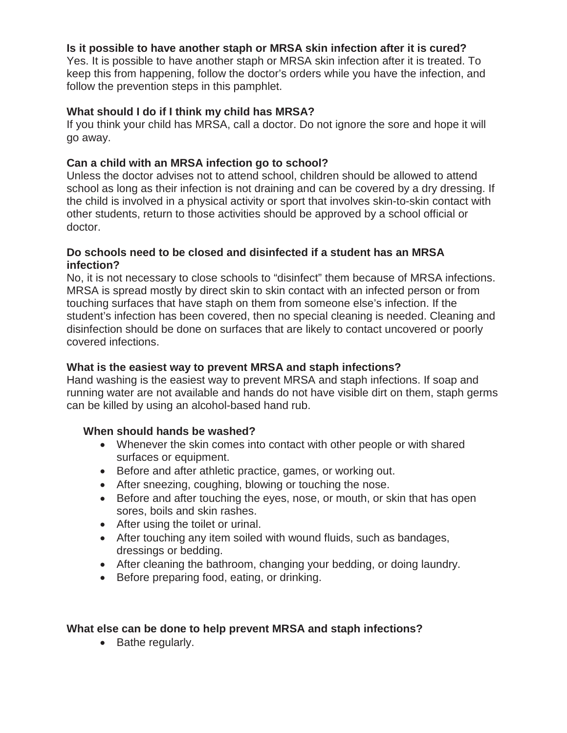## **Is it possible to have another staph or MRSA skin infection after it is cured?**

Yes. It is possible to have another staph or MRSA skin infection after it is treated. To keep this from happening, follow the doctor's orders while you have the infection, and follow the prevention steps in this pamphlet.

## **What should I do if I think my child has MRSA?**

If you think your child has MRSA, call a doctor. Do not ignore the sore and hope it will go away.

## **Can a child with an MRSA infection go to school?**

Unless the doctor advises not to attend school, children should be allowed to attend school as long as their infection is not draining and can be covered by a dry dressing. If the child is involved in a physical activity or sport that involves skin-to-skin contact with other students, return to those activities should be approved by a school official or doctor.

## **Do schools need to be closed and disinfected if a student has an MRSA infection?**

No, it is not necessary to close schools to "disinfect" them because of MRSA infections. MRSA is spread mostly by direct skin to skin contact with an infected person or from touching surfaces that have staph on them from someone else's infection. If the student's infection has been covered, then no special cleaning is needed. Cleaning and disinfection should be done on surfaces that are likely to contact uncovered or poorly covered infections.

## **What is the easiest way to prevent MRSA and staph infections?**

Hand washing is the easiest way to prevent MRSA and staph infections. If soap and running water are not available and hands do not have visible dirt on them, staph germs can be killed by using an alcohol-based hand rub.

# **When should hands be washed?**

- Whenever the skin comes into contact with other people or with shared surfaces or equipment.
- Before and after athletic practice, games, or working out.
- After sneezing, coughing, blowing or touching the nose.
- Before and after touching the eyes, nose, or mouth, or skin that has open sores, boils and skin rashes.
- After using the toilet or urinal.
- After touching any item soiled with wound fluids, such as bandages, dressings or bedding.
- After cleaning the bathroom, changing your bedding, or doing laundry.
- Before preparing food, eating, or drinking.

# **What else can be done to help prevent MRSA and staph infections?**

• Bathe regularly.